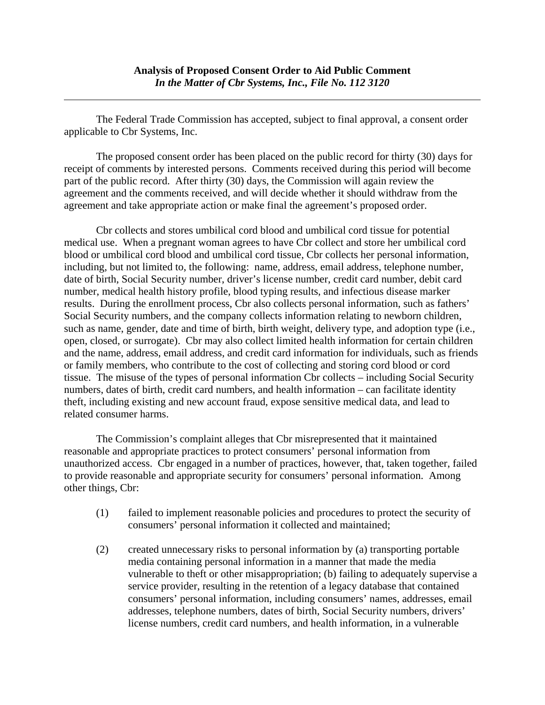The Federal Trade Commission has accepted, subject to final approval, a consent order applicable to Cbr Systems, Inc.

 $\overline{a}$ 

 The proposed consent order has been placed on the public record for thirty (30) days for receipt of comments by interested persons. Comments received during this period will become part of the public record. After thirty (30) days, the Commission will again review the agreement and the comments received, and will decide whether it should withdraw from the agreement and take appropriate action or make final the agreement's proposed order.

Cbr collects and stores umbilical cord blood and umbilical cord tissue for potential medical use. When a pregnant woman agrees to have Cbr collect and store her umbilical cord blood or umbilical cord blood and umbilical cord tissue, Cbr collects her personal information, including, but not limited to, the following: name, address, email address, telephone number, date of birth, Social Security number, driver's license number, credit card number, debit card number, medical health history profile, blood typing results, and infectious disease marker results. During the enrollment process, Cbr also collects personal information, such as fathers' Social Security numbers, and the company collects information relating to newborn children, such as name, gender, date and time of birth, birth weight, delivery type, and adoption type (i.e., open, closed, or surrogate). Cbr may also collect limited health information for certain children and the name, address, email address, and credit card information for individuals, such as friends or family members, who contribute to the cost of collecting and storing cord blood or cord tissue. The misuse of the types of personal information Cbr collects – including Social Security numbers, dates of birth, credit card numbers, and health information – can facilitate identity theft, including existing and new account fraud, expose sensitive medical data, and lead to related consumer harms.

 The Commission's complaint alleges that Cbr misrepresented that it maintained reasonable and appropriate practices to protect consumers' personal information from unauthorized access. Cbr engaged in a number of practices, however, that, taken together, failed to provide reasonable and appropriate security for consumers' personal information. Among other things, Cbr:

- (1) failed to implement reasonable policies and procedures to protect the security of consumers' personal information it collected and maintained;
- (2) created unnecessary risks to personal information by (a) transporting portable media containing personal information in a manner that made the media vulnerable to theft or other misappropriation; (b) failing to adequately supervise a service provider, resulting in the retention of a legacy database that contained consumers' personal information, including consumers' names, addresses, email addresses, telephone numbers, dates of birth, Social Security numbers, drivers' license numbers, credit card numbers, and health information, in a vulnerable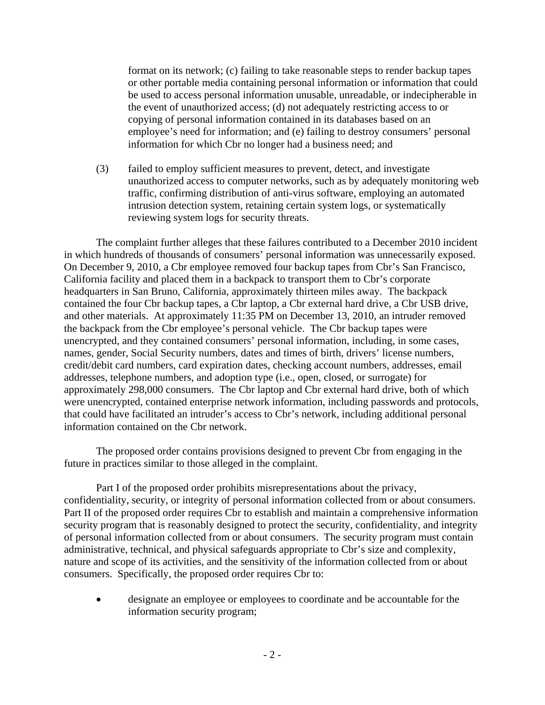format on its network; (c) failing to take reasonable steps to render backup tapes or other portable media containing personal information or information that could be used to access personal information unusable, unreadable, or indecipherable in the event of unauthorized access; (d) not adequately restricting access to or copying of personal information contained in its databases based on an employee's need for information; and (e) failing to destroy consumers' personal information for which Cbr no longer had a business need; and

(3) failed to employ sufficient measures to prevent, detect, and investigate unauthorized access to computer networks, such as by adequately monitoring web traffic, confirming distribution of anti-virus software, employing an automated intrusion detection system, retaining certain system logs, or systematically reviewing system logs for security threats.

The complaint further alleges that these failures contributed to a December 2010 incident in which hundreds of thousands of consumers' personal information was unnecessarily exposed. On December 9, 2010, a Cbr employee removed four backup tapes from Cbr's San Francisco, California facility and placed them in a backpack to transport them to Cbr's corporate headquarters in San Bruno, California, approximately thirteen miles away. The backpack contained the four Cbr backup tapes, a Cbr laptop, a Cbr external hard drive, a Cbr USB drive, and other materials. At approximately 11:35 PM on December 13, 2010, an intruder removed the backpack from the Cbr employee's personal vehicle. The Cbr backup tapes were unencrypted, and they contained consumers' personal information, including, in some cases, names, gender, Social Security numbers, dates and times of birth, drivers' license numbers, credit/debit card numbers, card expiration dates, checking account numbers, addresses, email addresses, telephone numbers, and adoption type (i.e., open, closed, or surrogate) for approximately 298,000 consumers. The Cbr laptop and Cbr external hard drive, both of which were unencrypted, contained enterprise network information, including passwords and protocols, that could have facilitated an intruder's access to Cbr's network, including additional personal information contained on the Cbr network.

The proposed order contains provisions designed to prevent Cbr from engaging in the future in practices similar to those alleged in the complaint.

Part I of the proposed order prohibits misrepresentations about the privacy, confidentiality, security, or integrity of personal information collected from or about consumers. Part II of the proposed order requires Cbr to establish and maintain a comprehensive information security program that is reasonably designed to protect the security, confidentiality, and integrity of personal information collected from or about consumers. The security program must contain administrative, technical, and physical safeguards appropriate to Cbr's size and complexity, nature and scope of its activities, and the sensitivity of the information collected from or about consumers. Specifically, the proposed order requires Cbr to:

 designate an employee or employees to coordinate and be accountable for the information security program;